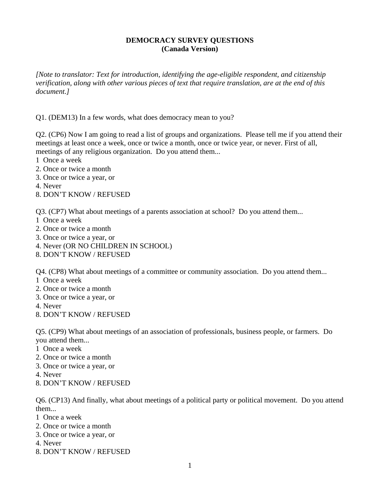## **DEMOCRACY SURVEY QUESTIONS (Canada Version)**

*[Note to translator: Text for introduction, identifying the age-eligible respondent, and citizenship verification, along with other various pieces of text that require translation, are at the end of this document.]* 

Q1. (DEM13) In a few words, what does democracy mean to you?

Q2. (CP6) Now I am going to read a list of groups and organizations. Please tell me if you attend their meetings at least once a week, once or twice a month, once or twice year, or never. First of all, meetings of any religious organization. Do you attend them...

- 1 Once a week
- 2. Once or twice a month
- 3. Once or twice a year, or
- 4. Never
- 8. DON'T KNOW / REFUSED

Q3. (CP7) What about meetings of a parents association at school? Do you attend them...

- 1 Once a week
- 2. Once or twice a month
- 3. Once or twice a year, or
- 4. Never (OR NO CHILDREN IN SCHOOL)
- 8. DON'T KNOW / REFUSED

Q4. (CP8) What about meetings of a committee or community association. Do you attend them...

- 1 Once a week
- 2. Once or twice a month
- 3. Once or twice a year, or
- 4. Never
- 8. DON'T KNOW / REFUSED

Q5. (CP9) What about meetings of an association of professionals, business people, or farmers. Do you attend them...

- 1 Once a week
- 2. Once or twice a month
- 3. Once or twice a year, or
- 4. Never
- 8. DON'T KNOW / REFUSED

Q6. (CP13) And finally, what about meetings of a political party or political movement. Do you attend them...

- 1 Once a week
- 2. Once or twice a month
- 3. Once or twice a year, or
- 4. Never
- 8. DON'T KNOW / REFUSED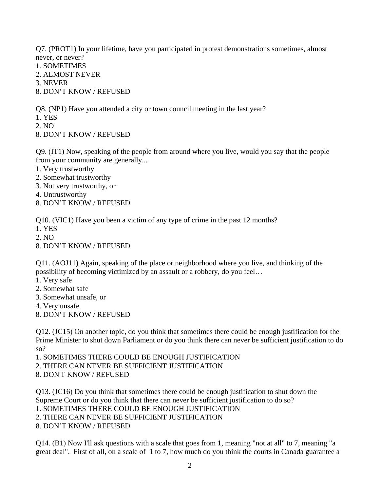Q7. (PROT1) In your lifetime, have you participated in protest demonstrations sometimes, almost never, or never?

- 1. SOMETIMES
- 2. ALMOST NEVER
- 3. NEVER
- 8. DON'T KNOW / REFUSED

Q8. (NP1) Have you attended a city or town council meeting in the last year?

- 1. YES
- 2. NO
- 8. DON'T KNOW / REFUSED

Q9. (IT1) Now, speaking of the people from around where you live, would you say that the people from your community are generally...

- 1. Very trustworthy
- 2. Somewhat trustworthy
- 3. Not very trustworthy, or
- 4. Untrustworthy
- 8. DON'T KNOW / REFUSED

Q10. (VIC1) Have you been a victim of any type of crime in the past 12 months?

- 1. YES
- 2. NO
- 8. DON'T KNOW / REFUSED

Q11. (AOJ11) Again, speaking of the place or neighborhood where you live, and thinking of the possibility of becoming victimized by an assault or a robbery, do you feel…

- 1. Very safe
- 2. Somewhat safe
- 3. Somewhat unsafe, or
- 4. Very unsafe
- 8. DON'T KNOW / REFUSED

Q12. (JC15) On another topic, do you think that sometimes there could be enough justification for the Prime Minister to shut down Parliament or do you think there can never be sufficient justification to do so?

1. SOMETIMES THERE COULD BE ENOUGH JUSTIFICATION

2. THERE CAN NEVER BE SUFFICIENT JUSTIFICATION

8. DON'T KNOW / REFUSED

Q13. (JC16) Do you think that sometimes there could be enough justification to shut down the Supreme Court or do you think that there can never be sufficient justification to do so?

1. SOMETIMES THERE COULD BE ENOUGH JUSTIFICATION

2. THERE CAN NEVER BE SUFFICIENT JUSTIFICATION

8. DON'T KNOW / REFUSED

Q14. (B1) Now I'll ask questions with a scale that goes from 1, meaning "not at all" to 7, meaning "a great deal". First of all, on a scale of 1 to 7, how much do you think the courts in Canada guarantee a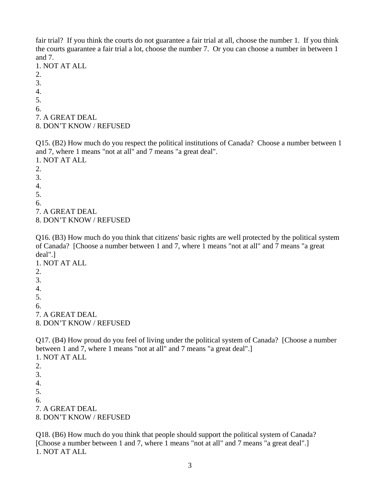fair trial? If you think the courts do not guarantee a fair trial at all, choose the number 1. If you think the courts guarantee a fair trial a lot, choose the number 7. Or you can choose a number in between 1 and 7.

1. NOT AT ALL 2. 3. 4. 5. 6. 7. A GREAT DEAL

8. DON'T KNOW / REFUSED

Q15. (B2) How much do you respect the political institutions of Canada? Choose a number between 1 and 7, where 1 means "not at all" and 7 means "a great deal". 1. NOT AT ALL

2. 3. 4. 5. 6. 7. A GREAT DEAL 8. DON'T KNOW / REFUSED

Q16. (B3) How much do you think that citizens' basic rights are well protected by the political system of Canada? [Choose a number between 1 and 7, where 1 means "not at all" and 7 means "a great deal".]

1. NOT AT ALL 2. 3. 4. 5. 6. 7. A GREAT DEAL 8. DON'T KNOW / REFUSED

Q17. (B4) How proud do you feel of living under the political system of Canada? [Choose a number between 1 and 7, where 1 means "not at all" and 7 means "a great deal".] 1. NOT AT ALL

2. 3. 4. 5. 6. 7. A GREAT DEAL 8. DON'T KNOW / REFUSED

Q18. (B6) How much do you think that people should support the political system of Canada? [Choose a number between 1 and 7, where 1 means "not at all" and 7 means "a great deal".] 1. NOT AT ALL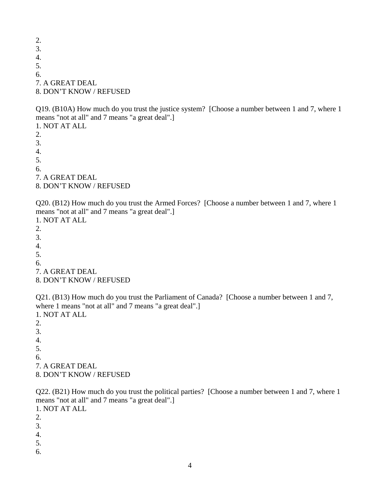2. 3. 4. 5. 6. 7. A GREAT DEAL 8. DON'T KNOW / REFUSED

Q19. (B10A) How much do you trust the justice system? [Choose a number between 1 and 7, where 1 means "not at all" and 7 means "a great deal".]

1. NOT AT ALL 2. 3. 4. 5. 6. 7. A GREAT DEAL 8. DON'T KNOW / REFUSED

Q20. (B12) How much do you trust the Armed Forces? [Choose a number between 1 and 7, where 1 means "not at all" and 7 means "a great deal".] 1. NOT AT ALL

7. A GREAT DEAL

8. DON'T KNOW / REFUSED

Q21. (B13) How much do you trust the Parliament of Canada? [Choose a number between 1 and 7, where 1 means "not at all" and 7 means "a great deal".] 1. NOT AT ALL

2. 3. 4. 5. 6. 7. A GREAT DEAL 8. DON'T KNOW / REFUSED

Q22. (B21) How much do you trust the political parties? [Choose a number between 1 and 7, where 1 means "not at all" and 7 means "a great deal".]

1. NOT AT ALL

2.

2. 3. 4. 5. 6.

3.

- 4.
- 5.
- 6.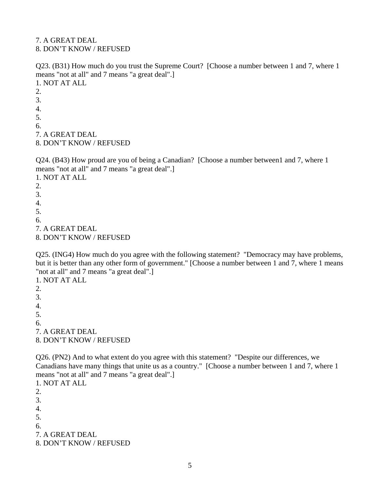7. A GREAT DEAL 8. DON'T KNOW / REFUSED

Q23. (B31) How much do you trust the Supreme Court? [Choose a number between 1 and 7, where 1 means "not at all" and 7 means "a great deal".] 1. NOT AT ALL

2. 3. 4. 5. 6. 7. A GREAT DEAL 8. DON'T KNOW / REFUSED

Q24. (B43) How proud are you of being a Canadian? [Choose a number between1 and 7, where 1 means "not at all" and 7 means "a great deal".] 1. NOT AT ALL  $2<sub>1</sub>$ 3. 4.

- 
- 5. 6.
- 
- 7. A GREAT DEAL
- 8. DON'T KNOW / REFUSED

Q25. (ING4) How much do you agree with the following statement? "Democracy may have problems, but it is better than any other form of government." [Choose a number between 1 and 7, where 1 means "not at all" and 7 means "a great deal".]

1. NOT AT ALL 2. 3. 4. 5. 6. 7. A GREAT DEAL 8. DON'T KNOW / REFUSED

Q26. (PN2) And to what extent do you agree with this statement? "Despite our differences, we Canadians have many things that unite us as a country." [Choose a number between 1 and 7, where 1 means "not at all" and 7 means "a great deal".] 1. NOT AT ALL

2. 3. 4. 5. 6. 7. A GREAT DEAL 8. DON'T KNOW / REFUSED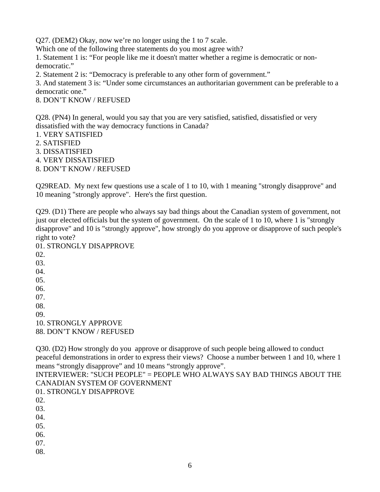Q27. (DEM2) Okay, now we're no longer using the 1 to 7 scale.

Which one of the following three statements do you most agree with?

1. Statement 1 is: "For people like me it doesn't matter whether a regime is democratic or nondemocratic."

2. Statement 2 is: "Democracy is preferable to any other form of government."

3. And statement 3 is: "Under some circumstances an authoritarian government can be preferable to a democratic one."

8. DON'T KNOW / REFUSED

Q28. (PN4) In general, would you say that you are very satisfied, satisfied, dissatisfied or very dissatisfied with the way democracy functions in Canada?

- 1. VERY SATISFIED
- 2. SATISFIED
- 3. DISSATISFIED
- 4. VERY DISSATISFIED
- 8. DON'T KNOW / REFUSED

Q29READ. My next few questions use a scale of 1 to 10, with 1 meaning "strongly disapprove" and 10 meaning "strongly approve". Here's the first question.

Q29. (D1) There are people who always say bad things about the Canadian system of government, not just our elected officials but the system of government. On the scale of 1 to 10, where 1 is "strongly disapprove" and 10 is "strongly approve", how strongly do you approve or disapprove of such people's right to vote?

01. STRONGLY DISAPPROVE 02. 03. 04. 05. 06. 07. 08. 09.

10. STRONGLY APPROVE 88. DON'T KNOW / REFUSED

Q30. (D2) How strongly do you approve or disapprove of such people being allowed to conduct peaceful demonstrations in order to express their views? Choose a number between 1 and 10, where 1 means "strongly disapprove" and 10 means "strongly approve".

INTERVIEWER: "SUCH PEOPLE" = PEOPLE WHO ALWAYS SAY BAD THINGS ABOUT THE CANADIAN SYSTEM OF GOVERNMENT

01. STRONGLY DISAPPROVE

02.

03.

04.

05.

06.

07.

08.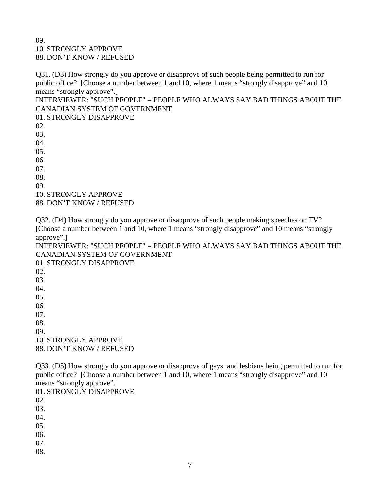## 09. 10. STRONGLY APPROVE 88. DON'T KNOW / REFUSED

Q31. (D3) How strongly do you approve or disapprove of such people being permitted to run for public office? [Choose a number between 1 and 10, where 1 means "strongly disapprove" and 10 means "strongly approve".]

INTERVIEWER: "SUCH PEOPLE" = PEOPLE WHO ALWAYS SAY BAD THINGS ABOUT THE CANADIAN SYSTEM OF GOVERNMENT

01. STRONGLY DISAPPROVE

02.

03.

04.

05.

06.

07.

08.

09.

10. STRONGLY APPROVE

88. DON'T KNOW / REFUSED

Q32. (D4) How strongly do you approve or disapprove of such people making speeches on TV? [Choose a number between 1 and 10, where 1 means "strongly disapprove" and 10 means "strongly approve".]

INTERVIEWER: "SUCH PEOPLE" = PEOPLE WHO ALWAYS SAY BAD THINGS ABOUT THE CANADIAN SYSTEM OF GOVERNMENT

01. STRONGLY DISAPPROVE 02.

03.

04.

05.

06.

07.

08.

09.

10. STRONGLY APPROVE

88. DON'T KNOW / REFUSED

Q33. (D5) How strongly do you approve or disapprove of gays and lesbians being permitted to run for public office? [Choose a number between 1 and 10, where 1 means "strongly disapprove" and 10 means "strongly approve".]

01. STRONGLY DISAPPROVE

02.

03.

04.

05.

06.

07.

08.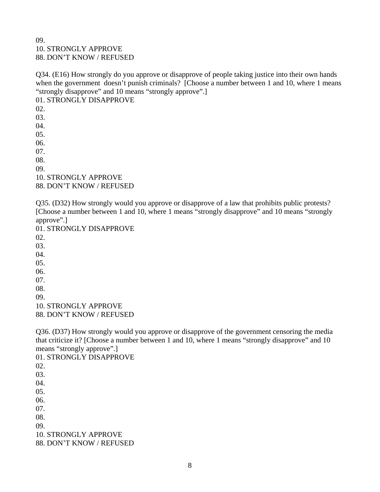## 09. 10. STRONGLY APPROVE 88. DON'T KNOW / REFUSED

Q34. (E16) How strongly do you approve or disapprove of people taking justice into their own hands when the government doesn't punish criminals? [Choose a number between 1 and 10, where 1 means "strongly disapprove" and 10 means "strongly approve".]

01. STRONGLY DISAPPROVE 02. 03. 04. 05. 06. 07. 08. 09. 10. STRONGLY APPROVE 88. DON'T KNOW / REFUSED

Q35. (D32) How strongly would you approve or disapprove of a law that prohibits public protests? [Choose a number between 1 and 10, where 1 means "strongly disapprove" and 10 means "strongly approve".]

01. STRONGLY DISAPPROVE 02. 03. 04. 05. 06. 07. 08.

09.

10. STRONGLY APPROVE 88. DON'T KNOW / REFUSED

Q36. (D37) How strongly would you approve or disapprove of the government censoring the media that criticize it? [Choose a number between 1 and 10, where 1 means "strongly disapprove" and 10 means "strongly approve".]

01. STRONGLY DISAPPROVE 02. 03. 04. 05. 06. 07. 08. 09. 10. STRONGLY APPROVE 88. DON'T KNOW / REFUSED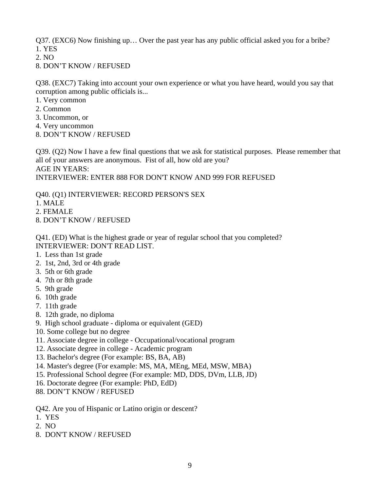Q37. (EXC6) Now finishing up… Over the past year has any public official asked you for a bribe? 1. YES

2. NO

8. DON'T KNOW / REFUSED

Q38. (EXC7) Taking into account your own experience or what you have heard, would you say that corruption among public officials is...

- 1. Very common
- 2. Common
- 3. Uncommon, or
- 4. Very uncommon
- 8. DON'T KNOW / REFUSED

Q39. (Q2) Now I have a few final questions that we ask for statistical purposes. Please remember that all of your answers are anonymous. Fist of all, how old are you? AGE IN YEARS: INTERVIEWER: ENTER 888 FOR DON'T KNOW AND 999 FOR REFUSED

Q40. (Q1) INTERVIEWER: RECORD PERSON'S SEX

- 1. MALE
- 2. FEMALE
- 8. DON'T KNOW / REFUSED

Q41. (ED) What is the highest grade or year of regular school that you completed? INTERVIEWER: DON'T READ LIST.

- 1. Less than 1st grade
- 2. 1st, 2nd, 3rd or 4th grade
- 3. 5th or 6th grade
- 4. 7th or 8th grade
- 5. 9th grade
- 6. 10th grade
- 7. 11th grade
- 8. 12th grade, no diploma
- 9. High school graduate diploma or equivalent (GED)
- 10. Some college but no degree
- 11. Associate degree in college Occupational/vocational program
- 12. Associate degree in college Academic program
- 13. Bachelor's degree (For example: BS, BA, AB)
- 14. Master's degree (For example: MS, MA, MEng, MEd, MSW, MBA)
- 15. Professional School degree (For example: MD, DDS, DVm, LLB, JD)
- 16. Doctorate degree (For example: PhD, EdD)
- 88. DON'T KNOW / REFUSED
- Q42. Are you of Hispanic or Latino origin or descent?
- 1. YES
- 2. NO
- 8. DON'T KNOW / REFUSED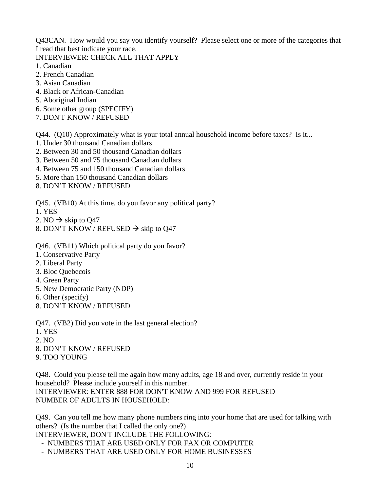Q43CAN. How would you say you identify yourself? Please select one or more of the categories that I read that best indicate your race.

INTERVIEWER: CHECK ALL THAT APPLY

- 1. Canadian
- 2. French Canadian
- 3. Asian Canadian
- 4. Black or African-Canadian
- 5. Aboriginal Indian
- 6. Some other group (SPECIFY)
- 7. DON'T KNOW / REFUSED

Q44. (Q10) Approximately what is your total annual household income before taxes? Is it...

- 1. Under 30 thousand Canadian dollars
- 2. Between 30 and 50 thousand Canadian dollars
- 3. Between 50 and 75 thousand Canadian dollars
- 4. Between 75 and 150 thousand Canadian dollars
- 5. More than 150 thousand Canadian dollars
- 8. DON'T KNOW / REFUSED
- Q45. (VB10) At this time, do you favor any political party?
- 1. YES
- 2. NO  $\rightarrow$  skip to Q47
- 8. DON'T KNOW / REFUSED  $\rightarrow$  skip to Q47

Q46. (VB11) Which political party do you favor?

- 1. Conservative Party
- 2. Liberal Party
- 3. Bloc Quebecois
- 4. Green Party
- 5. New Democratic Party (NDP)
- 6. Other (specify)
- 8. DON'T KNOW / REFUSED

Q47. (VB2) Did you vote in the last general election?

- 1. YES
- $2. NQ$
- 8. DON'T KNOW / REFUSED
- 9. TOO YOUNG

Q48. Could you please tell me again how many adults, age 18 and over, currently reside in your household? Please include yourself in this number. INTERVIEWER: ENTER 888 FOR DON'T KNOW AND 999 FOR REFUSED NUMBER OF ADULTS IN HOUSEHOLD:

Q49. Can you tell me how many phone numbers ring into your home that are used for talking with others? (Is the number that I called the only one?)

INTERVIEWER, DON'T INCLUDE THE FOLLOWING:

- NUMBERS THAT ARE USED ONLY FOR FAX OR COMPUTER
- NUMBERS THAT ARE USED ONLY FOR HOME BUSINESSES